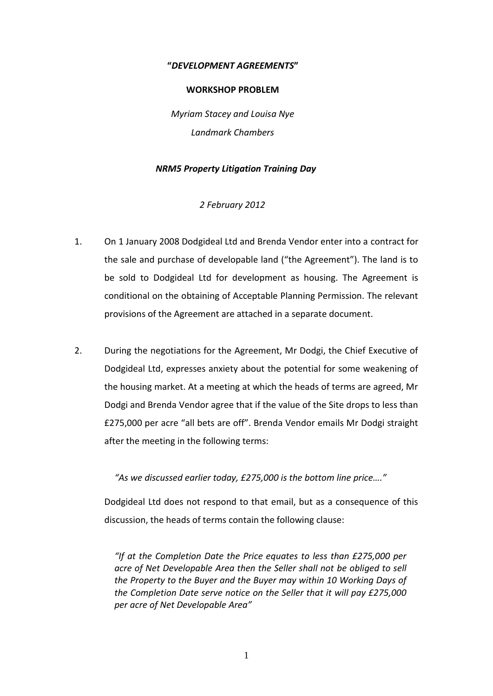### **"***DEVELOPMENT AGREEMENTS***"**

#### **WORKSHOP PROBLEM**

*Myriam Stacey and Louisa Nye Landmark Chambers*

## *NRM5 Property Litigation Training Day*

*2 February 2012*

- 1. On 1 January 2008 Dodgideal Ltd and Brenda Vendor enter into a contract for the sale and purchase of developable land ("the Agreement"). The land is to be sold to Dodgideal Ltd for development as housing. The Agreement is conditional on the obtaining of Acceptable Planning Permission. The relevant provisions of the Agreement are attached in a separate document.
- 2. During the negotiations for the Agreement, Mr Dodgi, the Chief Executive of Dodgideal Ltd, expresses anxiety about the potential for some weakening of the housing market. At a meeting at which the heads of terms are agreed, Mr Dodgi and Brenda Vendor agree that if the value of the Site drops to less than £275,000 per acre "all bets are off". Brenda Vendor emails Mr Dodgi straight after the meeting in the following terms:

*"As we discussed earlier today, £275,000 is the bottom line price…."*

Dodgideal Ltd does not respond to that email, but as a consequence of this discussion, the heads of terms contain the following clause:

*"If at the Completion Date the Price equates to less than £275,000 per acre of Net Developable Area then the Seller shall not be obliged to sell the Property to the Buyer and the Buyer may within 10 Working Days of the Completion Date serve notice on the Seller that it will pay £275,000 per acre of Net Developable Area"*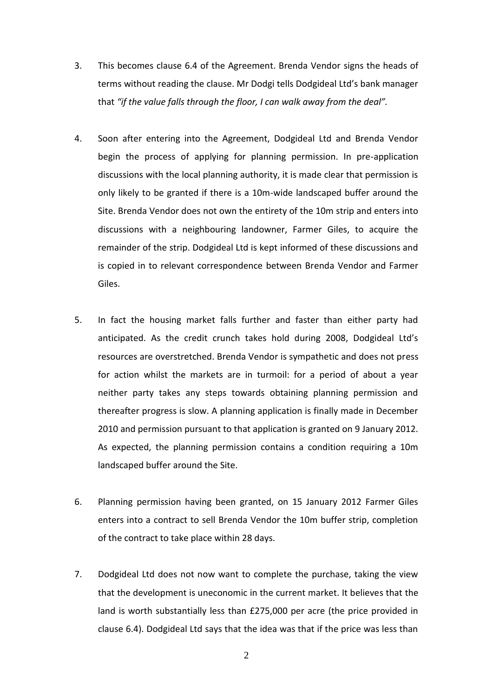- 3. This becomes clause 6.4 of the Agreement. Brenda Vendor signs the heads of terms without reading the clause. Mr Dodgi tells Dodgideal Ltd's bank manager that *"if the value falls through the floor, I can walk away from the deal".*
- 4. Soon after entering into the Agreement, Dodgideal Ltd and Brenda Vendor begin the process of applying for planning permission. In pre-application discussions with the local planning authority, it is made clear that permission is only likely to be granted if there is a 10m-wide landscaped buffer around the Site. Brenda Vendor does not own the entirety of the 10m strip and enters into discussions with a neighbouring landowner, Farmer Giles, to acquire the remainder of the strip. Dodgideal Ltd is kept informed of these discussions and is copied in to relevant correspondence between Brenda Vendor and Farmer Giles.
- 5. In fact the housing market falls further and faster than either party had anticipated. As the credit crunch takes hold during 2008, Dodgideal Ltd's resources are overstretched. Brenda Vendor is sympathetic and does not press for action whilst the markets are in turmoil: for a period of about a year neither party takes any steps towards obtaining planning permission and thereafter progress is slow. A planning application is finally made in December 2010 and permission pursuant to that application is granted on 9 January 2012. As expected, the planning permission contains a condition requiring a 10m landscaped buffer around the Site.
- 6. Planning permission having been granted, on 15 January 2012 Farmer Giles enters into a contract to sell Brenda Vendor the 10m buffer strip, completion of the contract to take place within 28 days.
- 7. Dodgideal Ltd does not now want to complete the purchase, taking the view that the development is uneconomic in the current market. It believes that the land is worth substantially less than £275,000 per acre (the price provided in clause 6.4). Dodgideal Ltd says that the idea was that if the price was less than

2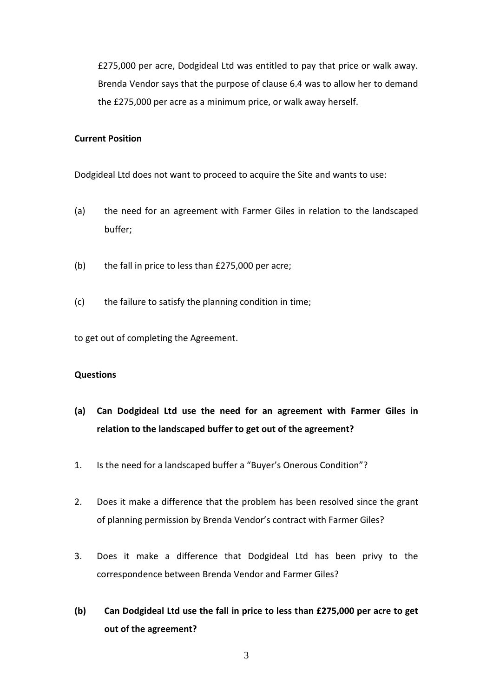£275,000 per acre, Dodgideal Ltd was entitled to pay that price or walk away. Brenda Vendor says that the purpose of clause 6.4 was to allow her to demand the £275,000 per acre as a minimum price, or walk away herself.

#### **Current Position**

Dodgideal Ltd does not want to proceed to acquire the Site and wants to use:

- (a) the need for an agreement with Farmer Giles in relation to the landscaped buffer;
- (b) the fall in price to less than £275,000 per acre;
- (c) the failure to satisfy the planning condition in time;

to get out of completing the Agreement.

## **Questions**

- **(a) Can Dodgideal Ltd use the need for an agreement with Farmer Giles in relation to the landscaped buffer to get out of the agreement?**
- 1. Is the need for a landscaped buffer a "Buyer's Onerous Condition"?
- 2. Does it make a difference that the problem has been resolved since the grant of planning permission by Brenda Vendor's contract with Farmer Giles?
- 3. Does it make a difference that Dodgideal Ltd has been privy to the correspondence between Brenda Vendor and Farmer Giles?
- **(b) Can Dodgideal Ltd use the fall in price to less than £275,000 per acre to get out of the agreement?**